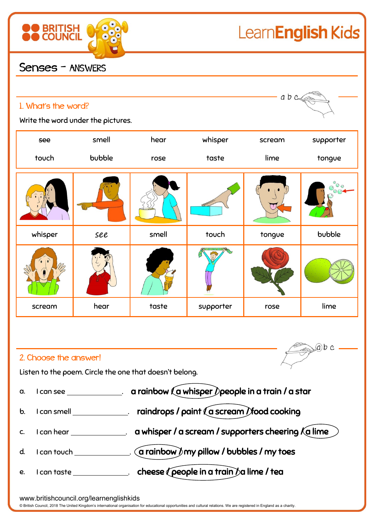

## 2. Choose the answer!

Listen to the poem. Circle the one that doesn't belong.



 $ab$  c

www.britishcouncil.org/learnenglishkids

© British Council, 2018 The United Kingdom's international organisation for educational opportunities and cultural relations. We are registered in England as a charity.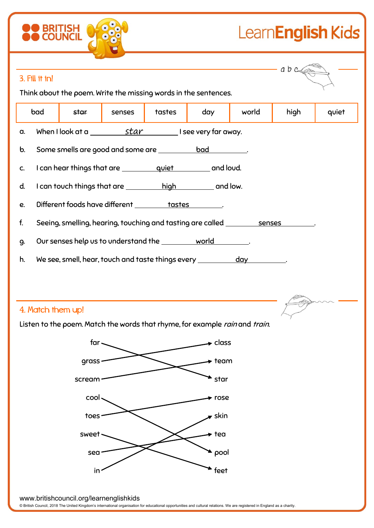## LearnEnglish Kids

|                                                                                                        |      |        |        |         |       | a b c |       |
|--------------------------------------------------------------------------------------------------------|------|--------|--------|---------|-------|-------|-------|
| 3. Fill it in!                                                                                         |      |        |        |         |       |       |       |
| Think about the poem. Write the missing words in the sentences.                                        |      |        |        |         |       |       |       |
| bad                                                                                                    | star | senses | tastes | day     | world | high  | quiet |
| When I look at a $\underline{\hspace{1cm}}$ star $\underline{\hspace{1cm}}$ I see very far away.<br>a. |      |        |        |         |       |       |       |
| b.                                                                                                     |      |        |        |         |       |       |       |
| I can hear things that are <u>equiet</u> and loud.<br>C.                                               |      |        |        |         |       |       |       |
| I can touch things that are high and low.<br>d.                                                        |      |        |        |         |       |       |       |
| Different foods have different __________ tastes ________.<br>e.                                       |      |        |        |         |       |       |       |
| f.<br>Seeing, smelling, hearing, touching and tasting are called __________ senses                     |      |        |        |         |       |       |       |
| Our senses help us to understand the world<br>9.                                                       |      |        |        |         |       |       |       |
| We see, smell, hear, touch and taste things every ____________ day _________.<br>h.                    |      |        |        |         |       |       |       |
|                                                                                                        |      |        |        |         |       |       |       |
|                                                                                                        |      |        |        |         |       |       |       |
| 4. Match them up!                                                                                      |      |        |        |         |       |       |       |
| Listen to the poem. Match the words that rhyme, for example rain and train.                            |      |        |        |         |       |       |       |
| far                                                                                                    |      |        |        | class - |       |       |       |
| team<br>grass                                                                                          |      |        |        |         |       |       |       |
| star<br>scream                                                                                         |      |        |        |         |       |       |       |
| cool                                                                                                   |      |        |        | rose    |       |       |       |
| toes                                                                                                   |      |        |        | skin    |       |       |       |
| sweet                                                                                                  |      |        |        |         |       |       |       |
| pool<br>sea                                                                                            |      |        |        |         |       |       |       |
|                                                                                                        | in   |        |        | feet    |       |       |       |
|                                                                                                        |      |        |        |         |       |       |       |

www.britishcouncil.org/learnenglishkids

**SO BRITISH OF 888** 

© British Council, 2018 The United Kingdom's international organisation for educational opportunities and cultural relations. We are registered in England as a charity.